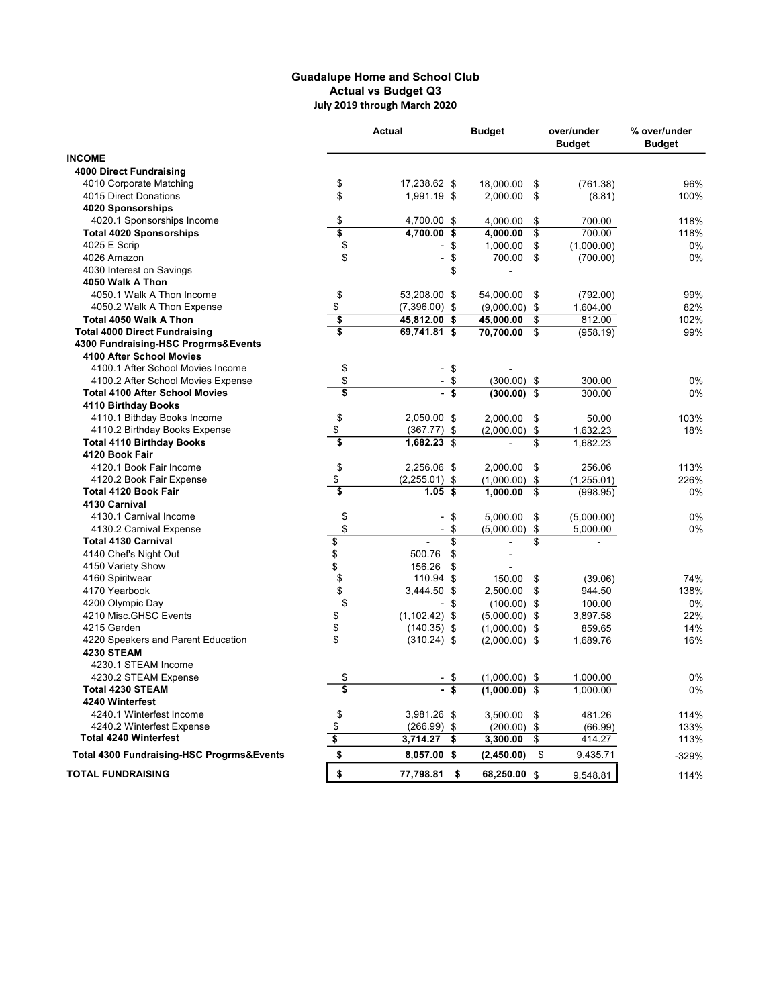## Guadalupe Home and School Club Actual vs Budget Q3 July 2019 through March 2020

|                                           | <b>Actual</b>                          |                                | <b>Budget</b>   | over/under<br><b>Budget</b> |            | % over/under<br><b>Budget</b> |
|-------------------------------------------|----------------------------------------|--------------------------------|-----------------|-----------------------------|------------|-------------------------------|
| <b>INCOME</b>                             |                                        |                                |                 |                             |            |                               |
| <b>4000 Direct Fundraising</b>            |                                        |                                |                 |                             |            |                               |
| 4010 Corporate Matching                   | \$                                     | 17,238.62 \$                   | 18,000.00       | \$                          | (761.38)   | 96%                           |
| 4015 Direct Donations                     | \$                                     | 1,991.19 \$                    | 2,000.00        | \$                          | (8.81)     | 100%                          |
| 4020 Sponsorships                         |                                        |                                |                 |                             |            |                               |
| 4020.1 Sponsorships Income                | \$                                     | 4,700.00<br>\$                 | 4.000.00        | \$                          | 700.00     | 118%                          |
| <b>Total 4020 Sponsorships</b>            | \$                                     | 4,700.00<br>\$                 | 4,000.00        | \$                          | 700.00     | 118%                          |
| 4025 E Scrip                              | \$                                     | \$                             | 1,000.00        | \$                          | (1,000.00) | 0%                            |
| 4026 Amazon                               | \$                                     | \$<br>$\overline{a}$           | 700.00          | \$                          | (700.00)   | 0%                            |
| 4030 Interest on Savings                  |                                        | \$                             | $\overline{a}$  |                             |            |                               |
| 4050 Walk A Thon                          |                                        |                                |                 |                             |            |                               |
| 4050.1 Walk A Thon Income                 | \$                                     | 53,208.00 \$                   | 54,000.00       | - \$                        | (792.00)   | 99%                           |
| 4050.2 Walk A Thon Expense                | \$                                     | $(7,396.00)$ \$                | $(9,000.00)$ \$ |                             | 1,604.00   | 82%                           |
| Total 4050 Walk A Thon                    | \$                                     | 45,812.00<br>\$                | 45,000.00       | \$                          | 812.00     | 102%                          |
| <b>Total 4000 Direct Fundraising</b>      | \$                                     | 69,741.81 \$                   | 70,700.00       | \$                          | (958.19)   | 99%                           |
| 4300 Fundraising-HSC Progrms&Events       |                                        |                                |                 |                             |            |                               |
| 4100 After School Movies                  |                                        |                                |                 |                             |            |                               |
| 4100.1 After School Movies Income         | \$                                     | \$<br>$\overline{a}$           |                 |                             |            |                               |
| 4100.2 After School Movies Expense        | \$                                     | \$                             | $(300.00)$ \$   |                             | 300.00     | 0%                            |
| <b>Total 4100 After School Movies</b>     | \$                                     |                                | $(300.00)$ \$   |                             | 300.00     | 0%                            |
| 4110 Birthday Books                       |                                        |                                |                 |                             |            |                               |
| 4110.1 Bithday Books Income               | \$                                     | 2,050.00 \$                    | 2,000.00        | \$                          | 50.00      | 103%                          |
| 4110.2 Birthday Books Expense             | \$                                     | (367.77)<br>\$                 | (2,000.00)      | \$                          | 1,632.23   | 18%                           |
| <b>Total 4110 Birthday Books</b>          | $\overline{\boldsymbol{\mathfrak{s}}}$ | 1,682.23<br>\$                 |                 | \$                          | 1,682.23   |                               |
| 4120 Book Fair                            |                                        |                                |                 |                             |            |                               |
| 4120.1 Book Fair Income                   | \$                                     | 2,256.06 \$                    | 2,000.00        | \$                          | 256.06     | 113%                          |
| 4120.2 Book Fair Expense                  | \$                                     | $(2,255.01)$ \$                | (1,000.00)      | \$                          | (1,255.01) | 226%                          |
| <b>Total 4120 Book Fair</b>               | \$                                     | 1.05<br>-\$                    | 1,000.00        | \$                          | (998.95)   | 0%                            |
| 4130 Carnival                             |                                        |                                |                 |                             |            |                               |
| 4130.1 Carnival Income                    | \$                                     | \$<br>$\overline{\phantom{0}}$ | 5,000.00        | \$                          | (5,000.00) | 0%                            |
| 4130.2 Carnival Expense                   | \$                                     | \$<br>$\overline{a}$           | (5,000.00)      | \$                          | 5,000.00   | 0%                            |
| <b>Total 4130 Carnival</b>                | $\overline{\$}$                        | \$                             |                 | \$                          |            |                               |
| 4140 Chef's Night Out                     | \$                                     | 500.76<br>\$                   | ٠               |                             |            |                               |
| 4150 Variety Show                         | \$                                     | 156.26<br>\$                   |                 |                             |            |                               |
| 4160 Spiritwear                           | \$                                     | 110.94 \$                      | 150.00          | \$                          | (39.06)    | 74%                           |
| 4170 Yearbook                             | \$                                     | 3,444.50 \$                    | 2,500.00        | \$                          | 944.50     | 138%                          |
| 4200 Olympic Day                          | \$                                     | - \$                           | $(100.00)$ \$   |                             | 100.00     | 0%                            |
| 4210 Misc.GHSC Events                     | \$                                     | $(1, 102.42)$ \$               |                 |                             | 3,897.58   | 22%                           |
| 4215 Garden                               | \$                                     | $(140.35)$ \$                  | $(5,000.00)$ \$ |                             | 859.65     | 14%                           |
| 4220 Speakers and Parent Education        | \$                                     |                                | $(1,000.00)$ \$ |                             |            | 16%                           |
| <b>4230 STEAM</b>                         |                                        | $(310.24)$ \$                  | $(2,000.00)$ \$ |                             | 1,689.76   |                               |
|                                           |                                        |                                |                 |                             |            |                               |
| 4230.1 STEAM Income                       |                                        |                                |                 |                             |            |                               |
| 4230.2 STEAM Expense                      | \$<br>$\overline{\mathbf{s}}$          |                                | $(1,000.00)$ \$ |                             | 1,000.00   | 0%                            |
| <b>Total 4230 STEAM</b>                   |                                        | \$                             | $(1,000.00)$ \$ |                             | 1.000.00   | 0%                            |
| 4240 Winterfest                           |                                        |                                |                 |                             |            |                               |
| 4240.1 Winterfest Income                  | \$                                     | 3,981.26 \$                    | 3,500.00 \$     |                             | 481.26     | 114%                          |
| 4240.2 Winterfest Expense                 | \$                                     | $(266.99)$ \$                  | $(200.00)$ \$   |                             | (66.99)    | 133%                          |
| <b>Total 4240 Winterfest</b>              | \$                                     | 3,714.27<br>\$                 | 3,300.00        | \$                          | 414.27     | 113%                          |
| Total 4300 Fundraising-HSC Progrms&Events | \$                                     | 8,057.00 \$                    | (2,450.00)      | \$                          | 9,435.71   | -329%                         |
| <b>TOTAL FUNDRAISING</b>                  | \$                                     | \$<br>77,798.81                | 68,250.00 \$    |                             | 9,548.81   | 114%                          |